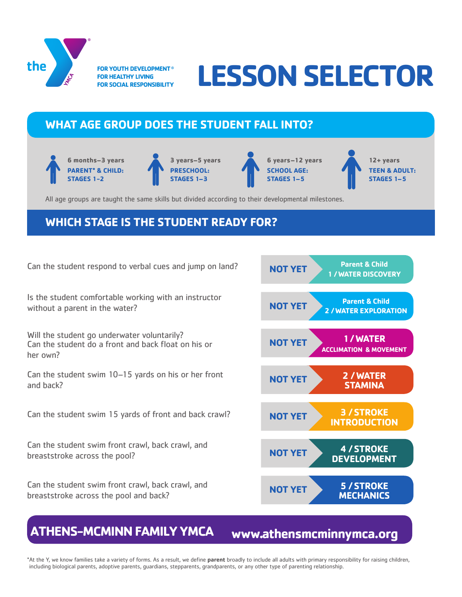

**FOR YOUTH DEVELOPMENT® FOR HEALTHY LIVING FOR SOCIAL RESPONSIBILITY** 

# **LESSON SELECTOR**

# **WHAT AGE GROUP DOES THE STUDENT FALL INTO?**

**6 months–3 years PARENT\* & CHILD: STAGES 1-2**





**12+ years TEEN & ADULT: STAGES 1–5**

All age groups are taught the same skills but divided according to their developmental milestones.

# **WHICH STAGE IS THE STUDENT READY FOR?**

Can the student respond to verbal cues and jump on land? **NOT YET Parent & Child** 

Is the student comfortable working with an instructor without a parent in the water? **NOT YET Parent & Child**

Will the student go underwater voluntarily?<br>Can the student do a front and back float on his or **NOT YET NOT YET** her own?

Can the student swim 10–15 yards on his or her front and back?

Can the student swim 15 yards of front and back crawl?

Can the student swim front crawl, back crawl, and breaststroke across the pool?

Can the student swim front crawl, back crawl, and breaststroke across the pool and back?



# **ATHENS-MCMINN FAMILY YMCA**

**www.athensmcminnymca.org**

\*At the Y, we know families take a variety of forms. As a result, we define **parent** broadly to include all adults with primary responsibility for raising children, including biological parents, adoptive parents, guardians, stepparents, grandparents, or any other type of parenting relationship.